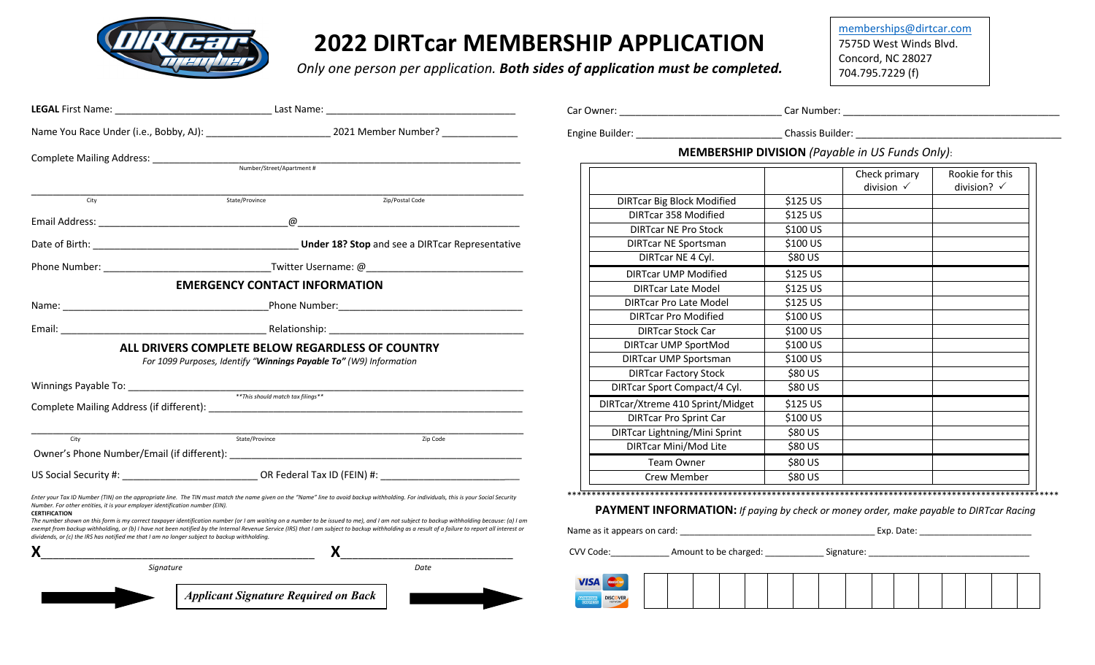

## **2022 DIRTcar MEMBERSHIP APPLICATION**

*Only one person per application. Both sides of application must be completed.*

memberships@dirtcar.com 7575D West Winds Blvd. Concord, NC 28027 704.795.7229 (f)

|                                                                                                                                                                                                      |                                                                                                                                                                                                                                                                                                                                                                                                                                                                                                                                                                                          | Car Owner: Car Owner: Car Owner: Car Owner: Car Owner: Car Owner: Car Owner: Car Owner: Car Owner: Car Owner: Car Owner: Car Owner: Car Owner: Car Owner: Car Owner: Car Owner: Car Owner: Car Owner: Car Owner: Car Owner: Ca |                                  |                                        |                                           |
|------------------------------------------------------------------------------------------------------------------------------------------------------------------------------------------------------|------------------------------------------------------------------------------------------------------------------------------------------------------------------------------------------------------------------------------------------------------------------------------------------------------------------------------------------------------------------------------------------------------------------------------------------------------------------------------------------------------------------------------------------------------------------------------------------|--------------------------------------------------------------------------------------------------------------------------------------------------------------------------------------------------------------------------------|----------------------------------|----------------------------------------|-------------------------------------------|
|                                                                                                                                                                                                      | Name You Race Under (i.e., Bobby, AJ): 2021 Member Number?                                                                                                                                                                                                                                                                                                                                                                                                                                                                                                                               |                                                                                                                                                                                                                                | Engine Builder: Chassis Builder: |                                        |                                           |
| Complete Mailing Address: <u>Number/Street/Apartment#</u>                                                                                                                                            |                                                                                                                                                                                                                                                                                                                                                                                                                                                                                                                                                                                          | <b>MEMBERSHIP DIVISION</b> (Payable in US Funds Only):                                                                                                                                                                         |                                  |                                        |                                           |
|                                                                                                                                                                                                      |                                                                                                                                                                                                                                                                                                                                                                                                                                                                                                                                                                                          |                                                                                                                                                                                                                                |                                  | Check primary<br>division $\checkmark$ | Rookie for this<br>division? $\checkmark$ |
| City                                                                                                                                                                                                 | State/Province<br>Zip/Postal Code                                                                                                                                                                                                                                                                                                                                                                                                                                                                                                                                                        | <b>DIRTcar Big Block Modified</b>                                                                                                                                                                                              | \$125 US                         |                                        |                                           |
|                                                                                                                                                                                                      |                                                                                                                                                                                                                                                                                                                                                                                                                                                                                                                                                                                          | <b>DIRTcar 358 Modified</b>                                                                                                                                                                                                    | \$125 US                         |                                        |                                           |
|                                                                                                                                                                                                      |                                                                                                                                                                                                                                                                                                                                                                                                                                                                                                                                                                                          | <b>DIRTcar NE Pro Stock</b>                                                                                                                                                                                                    | \$100 US                         |                                        |                                           |
|                                                                                                                                                                                                      | <b>Under 18? Stop</b> and see a DIRTcar Representative                                                                                                                                                                                                                                                                                                                                                                                                                                                                                                                                   | <b>DIRTcar NE Sportsman</b>                                                                                                                                                                                                    | \$100 US                         |                                        |                                           |
|                                                                                                                                                                                                      |                                                                                                                                                                                                                                                                                                                                                                                                                                                                                                                                                                                          | DIRTcar NE 4 Cyl.                                                                                                                                                                                                              | \$80 US                          |                                        |                                           |
|                                                                                                                                                                                                      |                                                                                                                                                                                                                                                                                                                                                                                                                                                                                                                                                                                          | <b>DIRTcar UMP Modified</b>                                                                                                                                                                                                    | \$125 US                         |                                        |                                           |
| <b>EMERGENCY CONTACT INFORMATION</b>                                                                                                                                                                 |                                                                                                                                                                                                                                                                                                                                                                                                                                                                                                                                                                                          | <b>DIRTcar Late Model</b>                                                                                                                                                                                                      | \$125 US                         |                                        |                                           |
|                                                                                                                                                                                                      |                                                                                                                                                                                                                                                                                                                                                                                                                                                                                                                                                                                          | <b>DIRTcar Pro Late Model</b>                                                                                                                                                                                                  | \$125 US                         |                                        |                                           |
|                                                                                                                                                                                                      |                                                                                                                                                                                                                                                                                                                                                                                                                                                                                                                                                                                          | <b>DIRTcar Pro Modified</b>                                                                                                                                                                                                    | \$100 US                         |                                        |                                           |
|                                                                                                                                                                                                      |                                                                                                                                                                                                                                                                                                                                                                                                                                                                                                                                                                                          | <b>DIRTcar Stock Car</b>                                                                                                                                                                                                       | \$100 US                         |                                        |                                           |
| ALL DRIVERS COMPLETE BELOW REGARDLESS OF COUNTRY                                                                                                                                                     |                                                                                                                                                                                                                                                                                                                                                                                                                                                                                                                                                                                          | <b>DIRTcar UMP SportMod</b>                                                                                                                                                                                                    | \$100 US                         |                                        |                                           |
| For 1099 Purposes, Identify "Winnings Payable To" (W9) Information                                                                                                                                   |                                                                                                                                                                                                                                                                                                                                                                                                                                                                                                                                                                                          | <b>DIRTcar UMP Sportsman</b>                                                                                                                                                                                                   | \$100 US                         |                                        |                                           |
|                                                                                                                                                                                                      |                                                                                                                                                                                                                                                                                                                                                                                                                                                                                                                                                                                          | <b>DIRTcar Factory Stock</b>                                                                                                                                                                                                   | \$80 US                          |                                        |                                           |
| ** This should match tax filings**                                                                                                                                                                   |                                                                                                                                                                                                                                                                                                                                                                                                                                                                                                                                                                                          | DIRTcar Sport Compact/4 Cyl.                                                                                                                                                                                                   | \$80 US                          |                                        |                                           |
|                                                                                                                                                                                                      |                                                                                                                                                                                                                                                                                                                                                                                                                                                                                                                                                                                          | DIRTcar/Xtreme 410 Sprint/Midget                                                                                                                                                                                               | \$125 US                         |                                        |                                           |
|                                                                                                                                                                                                      |                                                                                                                                                                                                                                                                                                                                                                                                                                                                                                                                                                                          | <b>DIRTcar Pro Sprint Car</b>                                                                                                                                                                                                  | \$100 US                         |                                        |                                           |
| City                                                                                                                                                                                                 | State/Province<br>Zip Code                                                                                                                                                                                                                                                                                                                                                                                                                                                                                                                                                               | DIRTcar Lightning/Mini Sprint                                                                                                                                                                                                  | \$80 US                          |                                        |                                           |
|                                                                                                                                                                                                      |                                                                                                                                                                                                                                                                                                                                                                                                                                                                                                                                                                                          | DIRTcar Mini/Mod Lite                                                                                                                                                                                                          | \$80 US                          |                                        |                                           |
|                                                                                                                                                                                                      |                                                                                                                                                                                                                                                                                                                                                                                                                                                                                                                                                                                          | Team Owner                                                                                                                                                                                                                     | \$80 US                          |                                        |                                           |
|                                                                                                                                                                                                      |                                                                                                                                                                                                                                                                                                                                                                                                                                                                                                                                                                                          | Crew Member                                                                                                                                                                                                                    | \$80 US                          |                                        |                                           |
| Number. For other entities, it is your employer identification number (EIN).<br><b>CERTIFICATION</b><br>dividends, or (c) the IRS has notified me that I am no longer subject to backup withholding. | Enter your Tax ID Number (TIN) on the appropriate line. The TIN must match the name given on the "Name" line to avoid backup withholding. For individuals, this is your Social Security<br>The number shown on this form is my correct taxpayer identification number (or I am waiting on a number to be issued to me), and I am not subject to backup withholding because: (a) I am<br>exempt from backup withholding, or (b) I have not been notified by the Internal Revenue Service (IRS) that I am subject to backup withholding as a result of a failure to report all interest or | <b>PAYMENT INFORMATION:</b> If paying by check or money order, make payable to DIRTcar Racing                                                                                                                                  |                                  |                                        |                                           |
|                                                                                                                                                                                                      | $\boldsymbol{\mathsf{X}}$ and $\boldsymbol{\mathsf{X}}$ and $\boldsymbol{\mathsf{X}}$ and $\boldsymbol{\mathsf{X}}$ and $\boldsymbol{\mathsf{X}}$ and $\boldsymbol{\mathsf{X}}$ and $\boldsymbol{\mathsf{X}}$ and $\boldsymbol{\mathsf{X}}$ and $\boldsymbol{\mathsf{X}}$ and $\boldsymbol{\mathsf{X}}$ and $\boldsymbol{\mathsf{X}}$ and $\boldsymbol{\mathsf{X}}$ and $\boldsymbol{\mathsf{X}}$ and $\boldsymbol{\mathsf{X}}$ a                                                                                                                                                        |                                                                                                                                                                                                                                |                                  |                                        |                                           |
| Date<br>Signature                                                                                                                                                                                    |                                                                                                                                                                                                                                                                                                                                                                                                                                                                                                                                                                                          |                                                                                                                                                                                                                                |                                  |                                        |                                           |
|                                                                                                                                                                                                      | <b>Applicant Signature Required on Back</b>                                                                                                                                                                                                                                                                                                                                                                                                                                                                                                                                              | <b>VISA</b> Maximiana                                                                                                                                                                                                          |                                  |                                        |                                           |
|                                                                                                                                                                                                      |                                                                                                                                                                                                                                                                                                                                                                                                                                                                                                                                                                                          | <b>DISCOVER</b>                                                                                                                                                                                                                |                                  |                                        |                                           |